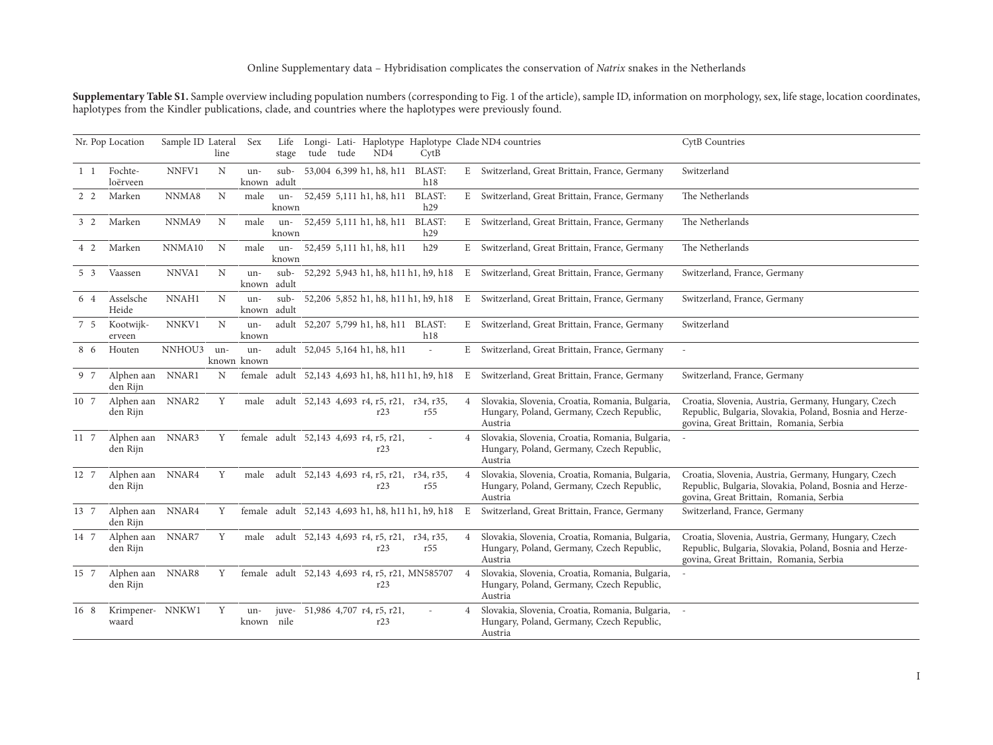**Supplementary Table S1.** Sample overview including population numbers (corresponding to Fig. 1 of the article), sample ID, information on morphology, sex, life stage, location coordinates, haplotypes from the Kindler publications, clade, and countries where the haplotypes were previously found.

|            | Nr. Pop Location             | Sample ID Lateral | line | <b>Sex</b>         | Life<br>stage | tude tude | ND <sub>4</sub>                               | CytB                                              |                | Longi- Lati- Haplotype Haplotype Clade ND4 countries                                                      | <b>CytB</b> Countries                                                                                                                                     |
|------------|------------------------------|-------------------|------|--------------------|---------------|-----------|-----------------------------------------------|---------------------------------------------------|----------------|-----------------------------------------------------------------------------------------------------------|-----------------------------------------------------------------------------------------------------------------------------------------------------------|
| $1\quad1$  | Fochte-<br>loërveen          | NNFV1             | N    | un-<br>known       | sub-<br>adult |           | 53,004 6,399 h1, h8, h11                      | <b>BLAST:</b><br>h18                              |                | E Switzerland, Great Brittain, France, Germany                                                            | Switzerland                                                                                                                                               |
| $2\quad 2$ | Marken                       | NNMA8             | N    | male               | un-<br>known  |           | 52,459 5,111 h1, h8, h11                      | <b>BLAST:</b><br>h29                              |                | E Switzerland, Great Brittain, France, Germany                                                            | The Netherlands                                                                                                                                           |
| $3\quad2$  | Marken                       | NNMA9             | N    | male               | un-<br>known  |           | 52,459 5,111 h1, h8, h11 BLAST:               | h29                                               |                | E Switzerland, Great Brittain, France, Germany                                                            | The Netherlands                                                                                                                                           |
| 4 2        | Marken                       | NNMA10            | N    | male               | un-<br>known  |           | 52,459 5,111 h1, h8, h11                      | h29                                               |                | E Switzerland, Great Brittain, France, Germany                                                            | The Netherlands                                                                                                                                           |
| $5\quad3$  | Vaassen                      | NNVA1             | N    | un-<br>known       | sub-<br>adult |           |                                               |                                                   |                | 52,292 5,943 h1, h8, h11 h1, h9, h18 E Switzerland, Great Brittain, France, Germany                       | Switzerland, France, Germany                                                                                                                              |
| 6 4        | Asselsche<br>Heide           | NNAH1             | N    | un-<br>known       | sub-<br>adult |           |                                               | 52,206 5,852 h1, h8, h11 h1, h9, h18              | E              | Switzerland, Great Brittain, France, Germany                                                              | Switzerland, France, Germany                                                                                                                              |
| 7 5        | Kootwijk-<br>erveen          | NNKV1             | N    | un-<br>known       |               |           | adult 52,207 5,799 h1, h8, h11 BLAST:         | h18                                               |                | E Switzerland, Great Brittain, France, Germany                                                            | Switzerland                                                                                                                                               |
| 8 6        | Houten                       | NNHOU3            | un-  | un-<br>known known |               |           | adult 52,045 5,164 h1, h8, h11                | $\overline{a}$                                    |                | E Switzerland, Great Brittain, France, Germany                                                            |                                                                                                                                                           |
| 9 7        | Alphen aan NNAR1<br>den Rijn |                   | N    |                    |               |           |                                               | female adult 52,143 4,693 h1, h8, h11 h1, h9, h18 | E              | Switzerland, Great Brittain, France, Germany                                                              | Switzerland, France, Germany                                                                                                                              |
| 10 7       | Alphen aan<br>den Rijn       | NNAR <sub>2</sub> | Y    | male               |               |           | r23                                           | adult 52,143 4,693 r4, r5, r21, r34, r35,<br>r55  | $\overline{4}$ | Slovakia, Slovenia, Croatia, Romania, Bulgaria,<br>Hungary, Poland, Germany, Czech Republic,<br>Austria   | Croatia, Slovenia, Austria, Germany, Hungary, Czech<br>Republic, Bulgaria, Slovakia, Poland, Bosnia and Herze-<br>govina, Great Brittain, Romania, Serbia |
| 11 7       | Alphen aan<br>den Rijn       | NNAR3             | Y    |                    |               |           | female adult 52,143 4,693 r4, r5, r21,<br>r23 |                                                   | $\overline{4}$ | Slovakia, Slovenia, Croatia, Romania, Bulgaria,<br>Hungary, Poland, Germany, Czech Republic,<br>Austria   |                                                                                                                                                           |
| 12 7       | Alphen aan<br>den Rijn       | NNAR4             | Y    | male               |               |           | adult 52,143 4,693 r4, r5, r21,<br>r23        | r34, r35,<br>r55                                  | $\overline{4}$ | Slovakia, Slovenia, Croatia, Romania, Bulgaria,<br>Hungary, Poland, Germany, Czech Republic,<br>Austria   | Croatia, Slovenia, Austria, Germany, Hungary, Czech<br>Republic, Bulgaria, Slovakia, Poland, Bosnia and Herze-<br>govina, Great Brittain, Romania, Serbia |
| 13 7       | Alphen aan<br>den Rijn       | NNAR4             | Y    |                    |               |           |                                               | female adult 52,143 4,693 h1, h8, h11 h1, h9, h18 | E              | Switzerland, Great Brittain, France, Germany                                                              | Switzerland, France, Germany                                                                                                                              |
| 14 7       | Alphen aan<br>den Rijn       | NNAR7             | Y    | male               |               |           | r23                                           | adult 52,143 4,693 r4, r5, r21, r34, r35,<br>r55  | $\overline{4}$ | Slovakia, Slovenia, Croatia, Romania, Bulgaria,<br>Hungary, Poland, Germany, Czech Republic,<br>Austria   | Croatia, Slovenia, Austria, Germany, Hungary, Czech<br>Republic, Bulgaria, Slovakia, Poland, Bosnia and Herze-<br>govina, Great Brittain, Romania, Serbia |
| 15 7       | Alphen aan NNAR8<br>den Rijn |                   | Y    |                    |               |           | r23                                           | female adult 52,143 4,693 r4, r5, r21, MN585707   | $\overline{4}$ | Slovakia, Slovenia, Croatia, Romania, Bulgaria,<br>Hungary, Poland, Germany, Czech Republic,<br>Austria   |                                                                                                                                                           |
| 16 8       | Krimpener- NNKW1<br>waard    |                   | Y    | un-<br>known nile  |               |           | juve- 51,986 4,707 r4, r5, r21,<br>r23        |                                                   | $\overline{4}$ | Slovakia, Slovenia, Croatia, Romania, Bulgaria, -<br>Hungary, Poland, Germany, Czech Republic,<br>Austria |                                                                                                                                                           |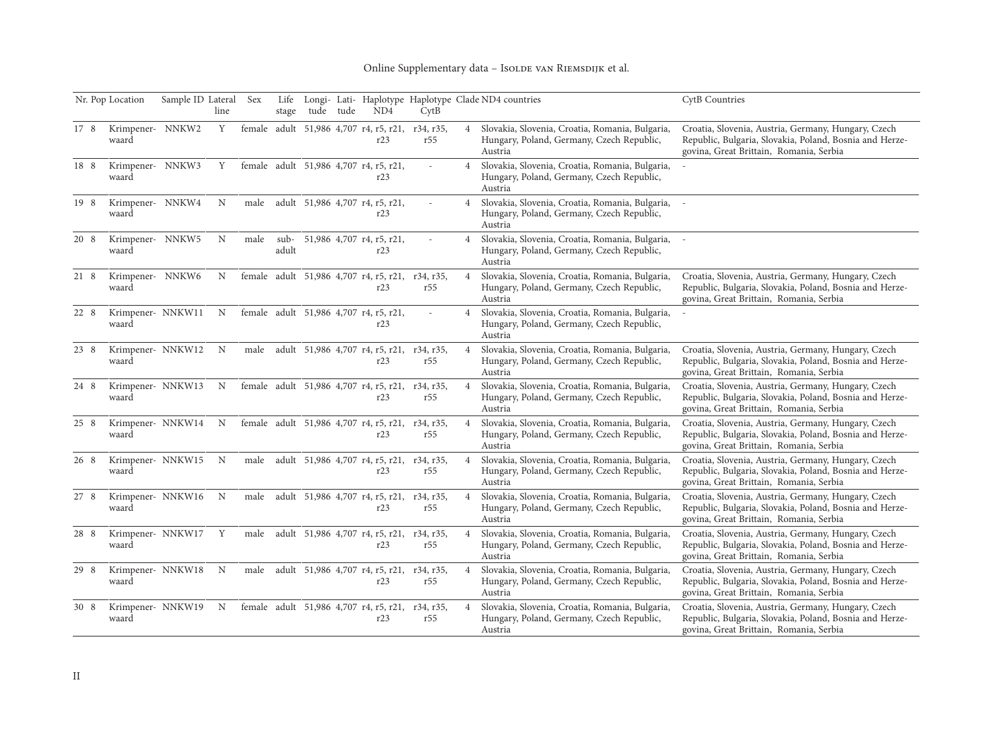## Online Supplementary data - Isolde van RIEMSDIJK et al.

|      | Nr. Pop Location           | Sample ID Lateral | line        | Sex  | Life<br>stage   | tude | tude | ND4                                                     | CvtB             |                | Longi- Lati- Haplotype Haplotype Clade ND4 countries                                                      | CytB Countries                                                                                                                                            |
|------|----------------------------|-------------------|-------------|------|-----------------|------|------|---------------------------------------------------------|------------------|----------------|-----------------------------------------------------------------------------------------------------------|-----------------------------------------------------------------------------------------------------------------------------------------------------------|
| 17 8 | Krimpener- NNKW2<br>waard  |                   | Y           |      |                 |      |      | female adult 51,986 4,707 r4, r5, r21,<br>r23           | r34, r35,<br>r55 | $\overline{4}$ | Slovakia, Slovenia, Croatia, Romania, Bulgaria,<br>Hungary, Poland, Germany, Czech Republic,<br>Austria   | Croatia, Slovenia, Austria, Germany, Hungary, Czech<br>Republic, Bulgaria, Slovakia, Poland, Bosnia and Herze-<br>govina, Great Brittain, Romania, Serbia |
| 18 8 | Krimpener- NNKW3<br>waard  |                   | Y           |      |                 |      |      | female adult 51,986 4,707 r4, r5, r21,<br>r23           |                  | $\overline{4}$ | Slovakia, Slovenia, Croatia, Romania, Bulgaria,<br>Hungary, Poland, Germany, Czech Republic,<br>Austria   |                                                                                                                                                           |
| 19 8 | Krimpener- NNKW4<br>waard  |                   | N           | male |                 |      |      | adult 51,986 4,707 r4, r5, r21,<br>r23                  |                  | $\overline{4}$ | Slovakia, Slovenia, Croatia, Romania, Bulgaria, -<br>Hungary, Poland, Germany, Czech Republic,<br>Austria |                                                                                                                                                           |
| 20 8 | Krimpener- NNKW5<br>waard  |                   | N           | male | $sub-$<br>adult |      |      | 51,986 4,707 r4, r5, r21,<br>r23                        |                  | $\overline{4}$ | Slovakia, Slovenia, Croatia, Romania, Bulgaria,<br>Hungary, Poland, Germany, Czech Republic,<br>Austria   |                                                                                                                                                           |
| 21 8 | Krimpener- NNKW6<br>waard  |                   | N           |      |                 |      |      | female adult 51,986 4,707 r4, r5, r21, r34, r35,<br>r23 | r55              | $\overline{4}$ | Slovakia, Slovenia, Croatia, Romania, Bulgaria,<br>Hungary, Poland, Germany, Czech Republic,<br>Austria   | Croatia, Slovenia, Austria, Germany, Hungary, Czech<br>Republic, Bulgaria, Slovakia, Poland, Bosnia and Herze-<br>govina, Great Brittain, Romania, Serbia |
| 22 8 | Krimpener- NNKW11<br>waard |                   | $\mathbf N$ |      |                 |      |      | female adult 51,986 4,707 r4, r5, r21,<br>r23           |                  | $\overline{4}$ | Slovakia, Slovenia, Croatia, Romania, Bulgaria,<br>Hungary, Poland, Germany, Czech Republic,<br>Austria   |                                                                                                                                                           |
| 23 8 | Krimpener- NNKW12<br>waard |                   | $_{\rm N}$  | male |                 |      |      | adult 51,986 4,707 r4, r5, r21, r34, r35,<br>r23        | r55              | $\overline{4}$ | Slovakia, Slovenia, Croatia, Romania, Bulgaria,<br>Hungary, Poland, Germany, Czech Republic,<br>Austria   | Croatia, Slovenia, Austria, Germany, Hungary, Czech<br>Republic, Bulgaria, Slovakia, Poland, Bosnia and Herze-<br>govina, Great Brittain, Romania, Serbia |
| 24 8 | Krimpener- NNKW13<br>waard |                   | $\mathbf N$ |      |                 |      |      | female adult 51,986 4,707 r4, r5, r21, r34, r35,<br>r23 | r55              | $\overline{4}$ | Slovakia, Slovenia, Croatia, Romania, Bulgaria,<br>Hungary, Poland, Germany, Czech Republic,<br>Austria   | Croatia, Slovenia, Austria, Germany, Hungary, Czech<br>Republic, Bulgaria, Slovakia, Poland, Bosnia and Herze-<br>govina, Great Brittain, Romania, Serbia |
| 25 8 | Krimpener- NNKW14<br>waard |                   | $_{\rm N}$  |      |                 |      |      | female adult 51,986 4,707 r4, r5, r21, r34, r35,<br>r23 | r55              | $\overline{4}$ | Slovakia, Slovenia, Croatia, Romania, Bulgaria,<br>Hungary, Poland, Germany, Czech Republic,<br>Austria   | Croatia, Slovenia, Austria, Germany, Hungary, Czech<br>Republic, Bulgaria, Slovakia, Poland, Bosnia and Herze-<br>govina, Great Brittain, Romania, Serbia |
| 26 8 | Krimpener- NNKW15<br>waard |                   | $\mathbf N$ | male |                 |      |      | adult 51,986 4,707 r4, r5, r21, r34, r35,<br>r23        | r55              | $\overline{4}$ | Slovakia, Slovenia, Croatia, Romania, Bulgaria,<br>Hungary, Poland, Germany, Czech Republic,<br>Austria   | Croatia, Slovenia, Austria, Germany, Hungary, Czech<br>Republic, Bulgaria, Slovakia, Poland, Bosnia and Herze-<br>govina, Great Brittain, Romania, Serbia |
| 27 8 | Krimpener- NNKW16<br>waard |                   | N           | male |                 |      |      | adult 51,986 4,707 r4, r5, r21, r34, r35,<br>r23        | r55              | $\overline{4}$ | Slovakia, Slovenia, Croatia, Romania, Bulgaria,<br>Hungary, Poland, Germany, Czech Republic,<br>Austria   | Croatia, Slovenia, Austria, Germany, Hungary, Czech<br>Republic, Bulgaria, Slovakia, Poland, Bosnia and Herze-<br>govina, Great Brittain, Romania, Serbia |
| 28 8 | Krimpener- NNKW17<br>waard |                   | Y           | male |                 |      |      | adult 51,986 4,707 r4, r5, r21, r34, r35,<br>r23        | r55              | $\overline{4}$ | Slovakia, Slovenia, Croatia, Romania, Bulgaria,<br>Hungary, Poland, Germany, Czech Republic,<br>Austria   | Croatia, Slovenia, Austria, Germany, Hungary, Czech<br>Republic, Bulgaria, Slovakia, Poland, Bosnia and Herze-<br>govina, Great Brittain, Romania, Serbia |
| 29 8 | Krimpener- NNKW18<br>waard |                   | N           | male |                 |      |      | adult 51,986 4,707 r4, r5, r21,<br>r23                  | r34, r35,<br>r55 | $\overline{4}$ | Slovakia, Slovenia, Croatia, Romania, Bulgaria,<br>Hungary, Poland, Germany, Czech Republic,<br>Austria   | Croatia, Slovenia, Austria, Germany, Hungary, Czech<br>Republic, Bulgaria, Slovakia, Poland, Bosnia and Herze-<br>govina, Great Brittain, Romania, Serbia |
| 30 8 | Krimpener- NNKW19<br>waard |                   | N           |      |                 |      |      | female adult 51,986 4,707 r4, r5, r21, r34, r35,<br>r23 | r55              | $\overline{4}$ | Slovakia, Slovenia, Croatia, Romania, Bulgaria,<br>Hungary, Poland, Germany, Czech Republic,<br>Austria   | Croatia, Slovenia, Austria, Germany, Hungary, Czech<br>Republic, Bulgaria, Slovakia, Poland, Bosnia and Herze-<br>govina, Great Brittain, Romania, Serbia |